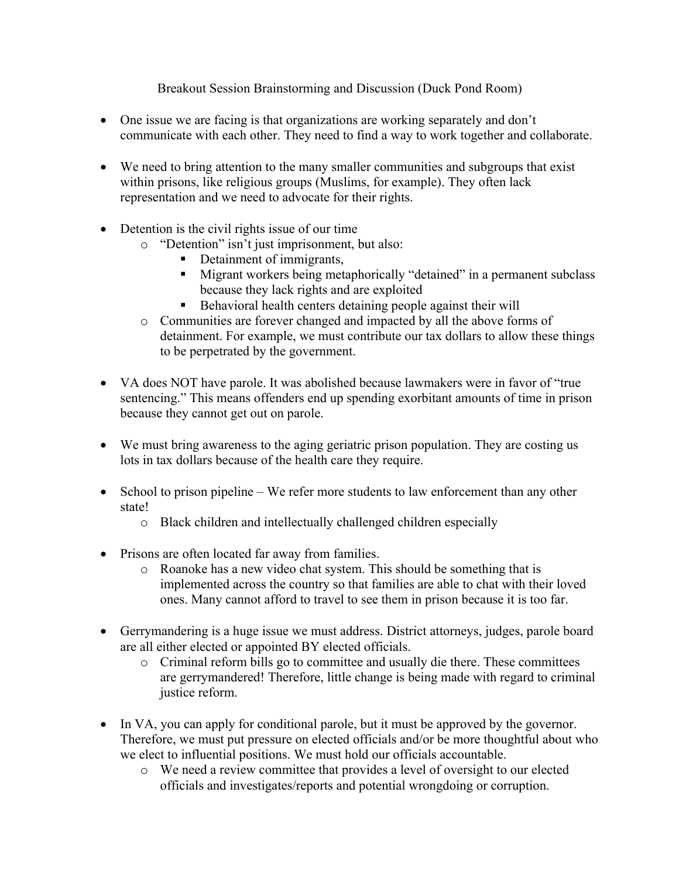Breakout Session Brainstorming and Discussion (Duck Pond Room)

- One issue we are facing is that organizations are working separately and don't communicate with each other. They need to find a way to work together and collaborate.
- We need to bring attention to the many smaller communities and subgroups that exist within prisons, like religious groups (Muslims, for example). They often lack representation and we need to advocate for their rights.
- Detention is the civil rights issue of our time
	- o "Detention" isn't just imprisonment, but also:
		- Detainment of immigrants,
		- Migrant workers being metaphorically "detained" in a permanent subclass because they lack rights and are exploited
		- Behavioral health centers detaining people against their will
	- o Communities are forever changed and impacted by all the above forms of detainment. For example, we must contribute our tax dollars to allow these things to be perpetrated by the government.
- VA does NOT have parole. It was abolished because lawmakers were in favor of "true" sentencing." This means offenders end up spending exorbitant amounts of time in prison because they cannot get out on parole.
- We must bring awareness to the aging geriatric prison population. They are costing us lots in tax dollars because of the health care they require.
- School to prison pipeline We refer more students to law enforcement than any other state!
	- o Black children and intellectually challenged children especially
- Prisons are often located far away from families.
	- o Roanoke has a new video chat system. This should be something that is implemented across the country so that families are able to chat with their loved ones. Many cannot afford to travel to see them in prison because it is too far.
- Gerrymandering is a huge issue we must address. District attorneys, judges, parole board are all either elected or appointed BY elected officials.
	- $\circ$  Criminal reform bills go to committee and usually die there. These committees are gerrymandered! Therefore, little change is being made with regard to criminal justice reform.
- In VA, you can apply for conditional parole, but it must be approved by the governor. Therefore, we must put pressure on elected officials and/or be more thoughtful about who we elect to influential positions. We must hold our officials accountable.
	- o We need a review committee that provides a level of oversight to our elected officials and investigates/reports and potential wrongdoing or corruption.